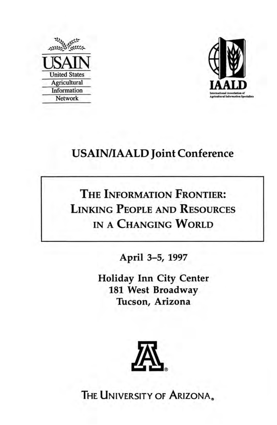



## USAIN/IAALD Joint Conference

# THE INFORMATION FRONTIER: LINKING PEOPLE AND RESOURCES IN A CHANGING WORLD

April 3-5, 1997

Holiday Inn City Center 181 West Broadway Tucson, Arizona



THE UNIVERSITY OF ARIZONA.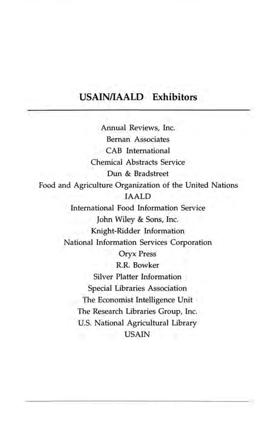### **USAINIIAALD Exhibitors**

Annual Reviews, Inc. Beman Associates CAB International Chemical Abstracts Service Dun & Bradstreet Food and Agriculture Organization of the United Nations IAALD International Food Information Service John Wiley & Sons, Inc. Knight-Ridder Information National Information Services Corporation Oryx Press R.R. Bowker Silver Platter Information Special Libraries Association The Economist Intelligence Unit The Research Libraries Group, Inc. U.s. National Agricultural Library USAIN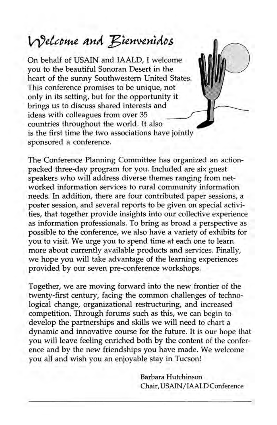# Welcome and Bienvenidos

On behalf of USAIN and IAALD, I welcome you to the beautiful Sonoran Desert in the heart of the sunny Southwestern United States. This conference promises to be unique, not only in its setting, but for the opportunity it brings us to discuss shared interests and ideas with colleagues from over 35 countries throughout the world. It also is the first time the two associations have jointly sponsored a conference.

The Conference Planning Committee has organized an actionpacked three-day program for you. Included are six guest speakers who will address diverse themes ranging from networked information services to rural community information needs. **In** addition, there are four contributed paper sessions, a poster session, and several reports to be given on special activities, that together provide insights into our collective experience as information professionals. To bring as broad a perspective as possible to the conference, we also have a variety of exhibits for you to visit. We urge you to spend time at each one to learn more about currently available products and services. Finally, we hope you will take advantage of the learning experiences provided by our seven pre-conference workshops.

Together, we are moving forward into the new frontier of the twenty-first century, facing the common challenges of technological change, organizational restructuring, and increased competition. Through forums such as this, we can begin to develop the partnerships and skills we will need to chart a dynamic and innovative course for the future. It is our hope that you will leave feeling enriched both by the content of the conference and by the new friendships you have made. We welcome you all and wish you an enjoyable stay in Tucson!

> Barbara Hutchinson Chair, USAIN /IAALD Conference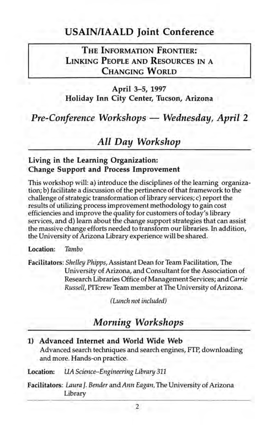### USAIN/IAALD Joint Conference

THE INFORMATION FRONTIER: LINKING PEOPLE AND RESOURCES IN A CHANGING WORLD

April 3-5, 1997 Holiday Inn City Center, Tucson, Arizona

*Pre-Conference Workshops — Wednesday, April 2* 

*All Day Workshop* 

### Living in the Learning Organization: Change Support and Process Improvement

This workshop will: a) introduce the disciplines of the learning organization; b) facilitate a discussion of the pertinence of that framework to the challenge of strategic transformation of library services; c) report the results of utilizing process improvement methodology to gain cost efficiencies and improve the quality for customers of today's library services, and d) learn about the change support strategies that can assist the massive change efforts needed to transform our libraries. In addition, the University of Arizona Library experience will be shared.

Location: *Tambo* 

Facilitators: *Shelley Phipps,* Assistant Dean for Team Facilitation, The University of Arizona, and Consultant for the Association of Research Libraries Office of Management Services; and *Carrie Russell,* PITcrew Team member at The University of Arizona.

*(Lunch not included)* 

### *Aiorning Workshops*

1) Advanced Internet and World Wide Web Advanced search techniques and search engines, FTP, downloading and more. Hands-on practice.

Location: *UA Science-Engineering Library 311* 

Facilitators: *Laura J. Bender* and *Ann Eagan,* The University of Arizona Library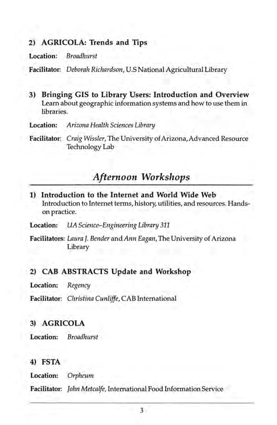### **2) AGRICOLA: Trends and Tips**

**Location:** *Broadhurst* 

**Facilitator:** *Deborah Richardson,* U.S National Agricultural Library

- **3) Bringing GIS to Library Users: Introduction and Overview**  Learn about geographic information systems and how to use them in libraries.
- **Location:** *Arizona Health Sciences Library*
- **Facilitator:** *Craig Wissler,* The University of Arizona, Advanced Resource Technology Lab

### *Afternoon Workshops*

**1) Introduction to the Internet and World Wide Web**  Introduction to Internet terms, history, utilities, and resources. Handson practice.

**Location:** *UA Science-Engineering Library 311* 

**Facilitators:** *Laura J. Bender* and *Ann Eagan,* The University of Arizona Library

#### **2) CAB ABSTRACTS Update and Workshop**

**Location:** *Regency* 

**Facilitator:** *Christina Cunliffe,* CAB International

#### **3) AGRICOLA**

**Location:** *Broadhurst* 

**4) FSTA** 

**Location:** *Orpheum* 

**Facilitator:** *John Metcalfe,* International Food Information Service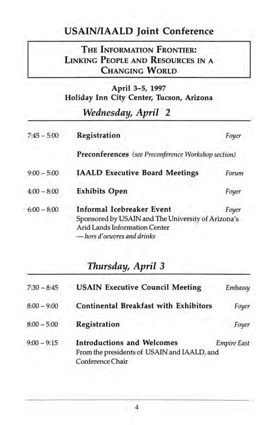### **USAIN/IAALD Joint Conference**

### **THE INFORMATION FRONTIER: LINKING PEOPLE AND RESOURCES IN** A **CHANGING WORLD**

### **April** 3-5, **1997 Holiday Inn City Center, Tucson, Arizona**

### *Wednesday, April 2*

| $7:45 - 5:00$ | Registration                                                                                                                                                    | Foyer |
|---------------|-----------------------------------------------------------------------------------------------------------------------------------------------------------------|-------|
|               | Preconferences (see Preconference Workshop section)                                                                                                             |       |
| $9:00 - 5:00$ | <b>IAALD Executive Board Meetings</b>                                                                                                                           | Forum |
| $4:00 - 8:00$ | <b>Exhibits Open</b>                                                                                                                                            | Foyer |
| $6:00 - 8:00$ | <b>Informal Icebreaker Event</b><br>Foyer<br>Sponsored by USAIN and The University of Arizona's<br>Arid Lands Information Center<br>- hors d'oeuvres and drinks |       |

### *Thursday, April 3*

| $7:30 - 8:45$ | <b>USAIN Executive Council Meeting</b>                                                               | Embassy            |
|---------------|------------------------------------------------------------------------------------------------------|--------------------|
| $8:00 - 9:00$ | <b>Continental Breakfast with Exhibitors</b>                                                         | Foyer              |
| $8:00 - 5:00$ | Registration                                                                                         | Foyer              |
| $9:00 - 9:15$ | <b>Introductions and Welcomes</b><br>From the presidents of USAIN and IAALD, and<br>Conference Chair | <b>Empire East</b> |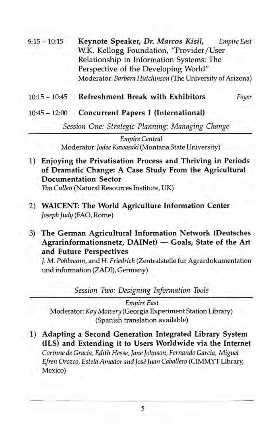- 9:15 -10:15 Keynote Speaker, *Dr. Marcos Kisil, Empire East*  W.K. Kellogg Foundation, "Provider *IUser*  Relationship in Information Systems: The Perspective of the Developing World" Moderator: *Barbara Hutchinson* (The University of Arizona)
	- 10:15 10:45 Refreshment Break with Exhibitors *Foyer*
	- 10:45 12:00 Concurrent Papers I (International)

*Session One: Strategic Planning: Managing Change* 

*Empire Central*  Moderator: *Jodee Kawasaki* (Montana State University)

1) Enjoying the Privatisation Process and Thriving in Periods of Dramatic Change: A Case Study From the Agricultural Documentation Sector *Tim Cullen* (Natural Resources Institute, UK)

2) WAICENT: The World Agriculture Information Center *Joseph Judy* (FAO, Rome)

3) The German Agricultural Information Network (Deutsches  $Agran informationsetz$ ,  $DAINet$   $-$  Goals, State of the Art and Future Perspectives

J. M. *Pohlmann,* and H. *Friedrich* (Zentralstelle fur Agrardokumentation und information (ZADI), Germany)

*Session Two: Designing Information Tools* 

*Empire East*  Moderator: *Kay Mowery* (Georgia Experiment Station Library) (Spanish translation available)

1) Adapting a Second Generation Integrated Library System (lLS) and Extending it to Users Worldwide via the Internet *Corinne de Gracia, Edith Hesse, Jane Johnson, Fernando Garcia, Miguel Efren Orozco, Estela Amador and Jose Juan Caballero* (CIMMYT Library, Mexico)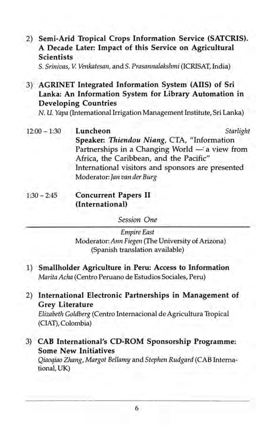2) Semi-Arid Tropical Crops Information Service (SATCRIS). A Decade Later: Impact of this Service on Agricultural **Scientists** 

S. *Srinivas,* V. *Venkatesan,* and S. *Prasannalakshmi* (ICRISAT, India)

3) AGRINET Integrated Information System (AilS) of Sri Lanka: An Information System for Library Automation in Developing Countries

N. U. *Yapa* (International Irrigation Management Institute, Sri Lanka)

- $12:00 1:30$ Luncheon *Starlight*  Speaker: *Thiendou Niang,* CTA, "Information Partnerships in a Changing World  $-$  a view from Africa, the Caribbean, and the Pacific" International visitors and sponsors are presented Moderator: *Jan van der Burg*
- $1:30 2:45$ Concurrent Papers II (International)

*Session One* 

*Empire East*  Moderator: *Ann Fiegen* (The University of Arizona) (Spanish translation available)

- 1) Smallholder Agriculture in Peru: Access to Information *Marita Acha* (Centro Peruano de Estudios Sociales, Peru)
- 2) International Electronic Partnerships in Management of Grey Literature

*Elizabeth Goldberg* (Centro Internacional de Agricultura Tropical (CIAT), Colombia)

3) CAB International's CD-ROM Sponsorship Programme: Some New Initiatives

*Qiaoqiao Zhang, Margot Bellamy* and *Stephen Rudgard* (CAB International, UK)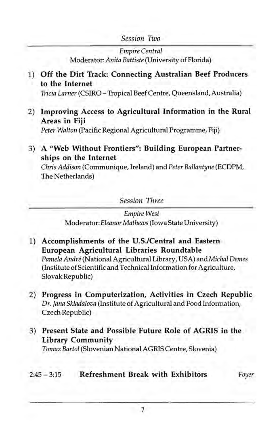### *Session Two*

*Empire Central*  Moderator: *Anita Battiste* (University of Florida)

### **1) Off the Dirt Track: Connecting Australian Beef Producers to the Internet**

*Tricia Lamer* (CSIRO - Tropical Beef Centre, Queensland,Australia)

2) **Improving Access to Agricultural Information in the Rural Areas in Fiji** 

*Peter Walton* (Pacific Regional Agricultural Programme, Fiji)

3) A "Web Without Frontiers": Building European Partner**ships on the Internet** 

*Chris Addison* (Communique, Ireland) and *Peter Ballantyne* (ECDPM, The Netherlands)

*Session Three* 

*Empire West*  Moderator: *Eleanor Mathews* (Iowa State University)

- **1) Accomplishments of the U.S.lCentral and Eastern European Agricultural Libraries Roundtable**  *Pamela Andre* (National Agricultural Library, USA) and *Michal Demes*  (Institute of Scientific and Technical Information for Agriculture, Slovak Republic)
- 2) **Progress in Computerization, Activities in Czech Republic**  *Dr. Jana Skladalova* (Institute of Agricultural and Food Information, Czech Republic)
- 3) **Present State and Possible Future Role of AGRIS in the Library Community**

*Tomaz Bartol* (Slovenian National AGRIS Centre, Slovenia)

### 2:45 - 3:15 **Refreshment Break with Exhibitors** *Foyer*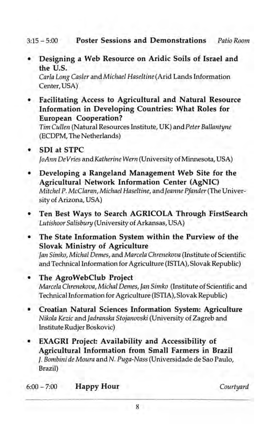3:15 - 5:00 **Poster Sessions and Demonstrations** *Patio Room* 

**• Designing a Web Resource on Aridic Soils of Israel and the U.S.**  *Carla Long Casler* and *Michael Haseltine* (Arid Lands Information

Center, USA)

**• Facilitating Access to Agricultural and Natural Resource Information in Developing Countries: What Roles for European Cooperation?** 

*Tim Cullen* (Natural Resources Institute, UK) and *Peter Ballantyne*  (ECDPM, The Netherlands)

- **SDI at STPC**  *JoAnn De Vries* and *Katherine Wern* (University of Minnesota, USA)
- **Developing a Rangeland Management Web Site for the Agricultural Network Information Center (AgNIC)**  *Mitchel* P. *McClaran, Michael Haseltine,* and *Jeanne Pfander* (The University of Arizona, USA)
- **Ten Best Ways to Search AGRICOLA Through FirstSearch**  *Lutishoor Salisbury* (University of Arkansas, USA)
- **The State Information System within the Purview of the Slovak Ministry of Agriculture**  *Jan Simko, Michal Oemes,* and *Marcela Chrenekova* (Institute of Scientific and Technical Information for Agriculture {lSTIA), Slovak Republic)
- **The AgroWebClub Project**  *Marcela Chrenekova, Michal Oemes, Jan Simko* (Institute of Scientific and TechnicalInformation for Agriculture (ISTIA), Slovak Republic)
- **Croatian Natural Sciences Information System: Agriculture**  *Nikola Kezic* and *Jadranska Stojanovski* (University of Zagreb and Institute Rudjer Boskovic)
- **EXAGRI Project: Availability and Accessibility of Agricultural Information from Small Farmers in Brazil**  f. *Bombini de Moura* and N. *Puga-Nass* (Universidade de Sao Paulo, Brazil)

6:00-7:00 **Happy Hour** *Courtyard*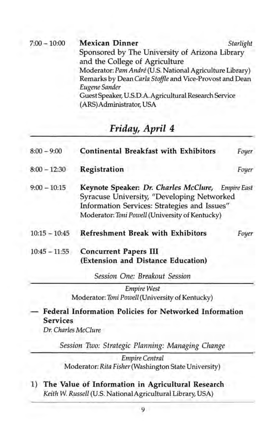| <b>Mexican Dinner</b><br>Starlight                                               |  |
|----------------------------------------------------------------------------------|--|
| Sponsored by The University of Arizona Library<br>and the College of Agriculture |  |
| Moderator: Pam André (U.S. National Agriculture Library)                         |  |
| Remarks by Dean Carla Stoffle and Vice-Provost and Dean                          |  |
| Eugene Sander                                                                    |  |
| Guest Speaker, U.S.D.A. Agricultural Research Service                            |  |
| (ARS) Administrator, USA                                                         |  |
|                                                                                  |  |

### Friday, April 4

| $8:00 - 9:00$   | Continental Breakfast with Exhibitors                                                                                                                                                              | Foyer |
|-----------------|----------------------------------------------------------------------------------------------------------------------------------------------------------------------------------------------------|-------|
| $8:00 - 12:30$  | Registration                                                                                                                                                                                       | Foyer |
| $9:00 - 10:15$  | Keynote Speaker: Dr. Charles McClure, Empire East<br>Syracuse University, "Developing Networked<br>Information Services: Strategies and Issues"<br>Moderator: Toni Powell (University of Kentucky) |       |
| $10:15 - 10:45$ | <b>Refreshment Break with Exhibitors</b>                                                                                                                                                           | Foyer |
| $10:45 - 11:55$ | <b>Concurrent Papers III</b><br>(Extension and Distance Education)                                                                                                                                 |       |
|                 | Session One: Breakout Session                                                                                                                                                                      |       |

*Empire West*  Moderator: *Toni Powell* (University of Kentucky)

Federal Information Policies for Networked Information Services

*Dr. Charles McClure* 

*Session Two: Strategic Planning: Managing Change* 

*Empire Central*  Moderator: *Rita Fisher* (Washington State University)

1) The Value of Information in Agricultural Research *Keith* W. *Russell* (U.S. National Agricultural Library, USA)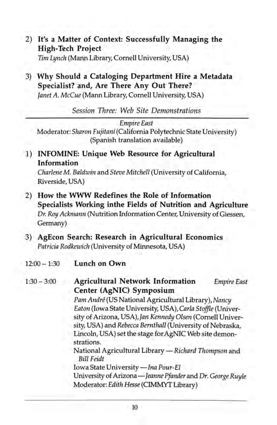- 2) **It's a Matter of Context: Successfully Managing the High-Tech Project**  *Tim Lynch* (Mann Library, Cornell University, USA)
- 3) **Why Should a Cataloging Department Hire a Metadata Specialist? and, Are There Any Out There?**  *Janet* A. *McCue* (Mann Library, Cornell University, USA)

*Session Three: Web Site Demonstrations* 

*Empire East* 

Moderator: *Sharon Fujitani* (California Polytechnic State University) (Spanish translation available)

1) **INFOMINE: Unique Web Resource for Agricultural Information** 

*Charlene* M. *Baldwin* and *Steve Mitchell* (University of California, Riverside, USA)

- 2) **How the WWW Redefines the Role of Information Specialists Working inthe Fields of Nutrition and Agriculture**  *Dr. Roy Ackmann* (Nutrition Information Center, University of Giessen, Germany)
- 3) **AgEcon Search: Research in Agricultural Economics**  *Patricia Rodkewich* (University of Minnesota, USA)
- $12:00 1:30$ **Lunch on Own**

| $1:30 - 3:00$ | <b>Agricultural Network Information</b><br>Center (AgNIC) Symposium                                                                                                                                                                                                                                  | <b>Empire East</b> |
|---------------|------------------------------------------------------------------------------------------------------------------------------------------------------------------------------------------------------------------------------------------------------------------------------------------------------|--------------------|
|               | Pam André (US National Agricultural Library), Nancy<br>Eaton (Iowa State University, USA), Carla Stoffle (Univer-<br>sity of Arizona, USA), Jan Kennedy Olsen (Cornell Univer-<br>sity, USA) and Rebecca Bernthall (University of Nebraska,<br>Lincoln, USA) set the stage for AgNIC Web site demon- |                    |
|               | strations.<br>National Agricultural Library - Richard Thompson and<br><b>Bill Feidt</b><br>Iowa State University - Ina Pour-El                                                                                                                                                                       |                    |
|               | University of Arizona-Jeanne Pfander and Dr. George Ruyle<br>Moderator: Edith Hesse (CIMMYT Library)                                                                                                                                                                                                 |                    |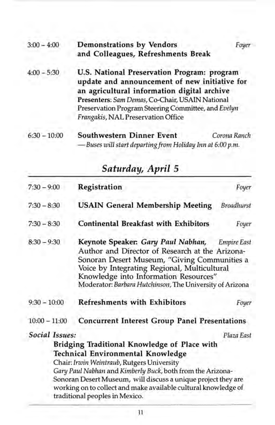| $3:00 - 4:00$  | Demonstrations by Vendors<br>and Colleagues, Refreshments Break                                                                                                                                                                                                                             | Foyer        |
|----------------|---------------------------------------------------------------------------------------------------------------------------------------------------------------------------------------------------------------------------------------------------------------------------------------------|--------------|
| $4:00 - 5:30$  | U.S. National Preservation Program: program<br>update and announcement of new initiative for<br>an agricultural information digital archive<br>Presenters: Sam Demas, Co-Chair, USAIN National<br>Preservation Program Steering Committee, and Evelyn<br>Frangakis, NAL Preservation Office |              |
| $6:30 - 10:00$ | <b>Southwestern Dinner Event</b><br>- Buses will start departing from Holiday Inn at 6:00 p.m.                                                                                                                                                                                              | Corona Ranch |

| эипииц, арни э                                                                                                                                                                                                                                                                                                                                     |                                |  |
|----------------------------------------------------------------------------------------------------------------------------------------------------------------------------------------------------------------------------------------------------------------------------------------------------------------------------------------------------|--------------------------------|--|
| Registration                                                                                                                                                                                                                                                                                                                                       | Foyer                          |  |
| <b>USAIN General Membership Meeting</b>                                                                                                                                                                                                                                                                                                            | <b>Broadhurst</b>              |  |
| <b>Continental Breakfast with Exhibitors</b>                                                                                                                                                                                                                                                                                                       | Foyer                          |  |
| Keynote Speaker: Gary Paul Nabhan, Empire East<br>Author and Director of Research at the Arizona-<br>Sonoran Desert Museum, "Giving Communities a<br>Voice by Integrating Regional, Multicultural<br>Knowledge into Information Resources"<br>Moderator: Barbara Hutchinson, The University of Arizona                                             |                                |  |
| <b>Refreshments with Exhibitors</b>                                                                                                                                                                                                                                                                                                                | Foyer                          |  |
| <b>Concurrent Interest Group Panel Presentations</b>                                                                                                                                                                                                                                                                                               |                                |  |
| Social Issues:<br>Bridging Traditional Knowledge of Place with<br>Technical Environmental Knowledge<br>Chair: Irwin Weintraub, Rutgers University<br>Gary Paul Nabhan and Kimberly Buck, both from the Arizona-<br>Sonoran Desert Museum, will discuss a unique project they are<br>working on to collect and make available cultural knowledge of | Plaza East                     |  |
|                                                                                                                                                                                                                                                                                                                                                    | traditional peoples in Mexico. |  |

### *Saturday, April 5*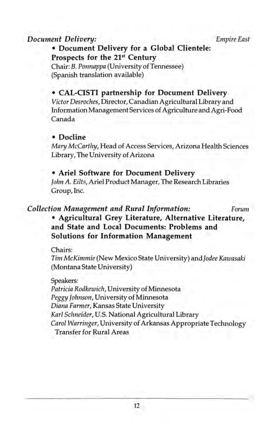#### *Document Delivery: Empire East*

### • Document Delivery for a Global Clientele: Prospects for the 21st Century

Chair: B. *Ponnappa* (University of Tennessee) (Spanish translation available)

### • CAL-CISTI partnership for Document Delivery

*Victor Desroches,* Director, Canadian Agricultural Library and Information Management Services of Agriculture and Agri-Food Canada

#### • Docline

*Mary McCarthy,* Head of Access Services, Arizona Health Sciences Library, The University of Arizona

### • Ariel Software for Document Delivery

*John A. Eilts,* Ariel Product Manager, The Research Libraries Group, Inc.

### *Collection Management and Rural Information: Forum*  • Agricultural Grey Literature, Alternative Literature, and State and Local Documents: Problems and Solutions for Information Management

Chairs:

*Tim McKimmie* (New Mexico State University) *andJodee Kawasaki*  (Montana State University)

#### Speakers:

*Patricia Rodkewich,* University of Minnesota *Peggy Johnson,* University of Minnesota *Diana Farmer,* Kansas State University *Karl Schneider,* U.S. National Agricultural Library *Carol Warringer,* University of Arkansas Appropriate Technology Transfer for Rural Areas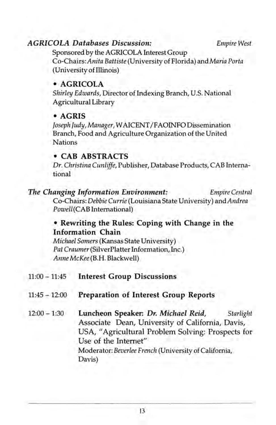### *AGRICOLA Databases Discussion: Empire West*

Sponsored by the AGRICOLA Interest Group *Co-Chairs:Anita Battiste* (University of Florida) and *Maria Porta*  (University of Illinois)

### • AGRICOLA

*Shirley Edwards,* Director of Indexing Branch, U.S. National Agricultural Library

### • AGRIS

*Joseph Judy, Manager,* W AICENT /FAOINFO Dissemination Branch, Food and Agriculture Organization of the United Nations

### • CAB ABSTRACTS

*Dr. Christina Cunliffe,* Publisher, Database Products, CAB International

### *The Changing Information Environment: Empire Central*

Co-Chairs: *Debbie Currie* (Louisiana State University) and *Andrea Powell* (CAB International)

### • Rewriting the Rules: Coping with Change in the Information Chain

*Michael Somers* (Kansas State University) *Pat Craumer* (SilverPlatter Information, Inc.) *Anne McKee* (B.H. Blackwell)

- 11:00 11:45 Interest Group Discussions
- 11:45 12:00 Preparation of Interest Group Reports
- 12:00 1:30 Luncheon Speaker: *Dr. Michael Reid, Starlight*  Associate Dean, University of California, Davis, USA, "Agricultural Problem Solving: Prospects for Use of the Internet" Moderator: *Beverlee French* (University of California, Davis)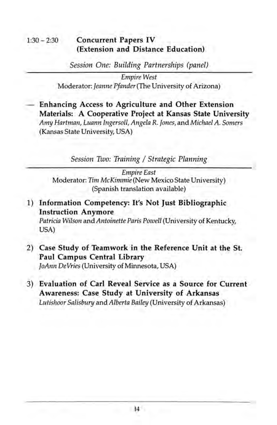### 1:30 - 2:30 **Concurrent Papers IV (Extension and Distance Education)**

*Session One: Building Partnerships (panel)* 

*Empire West*  Moderator: *Jeanne Pfander* (The University of Arizona)

**Enhancing Access to Agriculture and Other Extension Materials: A Cooperative Project at Kansas State University**  *Amy Hartman, Luann Ingersoll, Angela* R. *Jones,* and *Michael A. Somers*  (Kansas State University, USA)

*Session Two: Training* / *Strategic Planning* 

*Empire East*  Moderator: *Tim McKimmie* (New Mexico State University) (Spanish translation available)

- 1) **Information Competency: It's Not Just Bibliographic Instruction Anymore**  *Patricia Wilson* and *Antoinette Paris Powell* (University of Kentucky, USA)
- 2) **Case Study of Teamwork in the Reference Unit at the st. Paul Campus Central Library**  *JoAnn DeVries* (University of Minnesota, USA)
- 3) **Evaluation of Carl Reveal Service as a Source for Current Awareness: Case Study at University of Arkansas**  *Lutishoor Salisbury* and *Alberta Bailey* (University of Arkansas)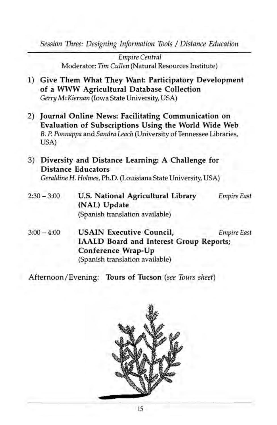*Session Three: Designing Information Tools* / *Distance Education* 

*Empire Central*  Moderator: *Tim Cullen* (Natural Resources Institute)

- 1) **Give Them What They Want: Participatory Development of a WWW Agricultural Database Collection**  *Gerry McKiernan* (Iowa State University, USA)
- 2) **Journal Online News: Facilitating Communication on Evaluation of Subscriptions Using the World Wide Web**  B. P. *Ponnappa* and *Sandra Leach* (University of Tennessee Libraries, USA)
- 3) **Diversity and Distance Learning: A Challenge for Distance Educators**  *Geraldine* H. *Holmes,* PhD. (Louisiana State University, USA)
- $2:30 3:00$ **U.S. National Agricultural Library (NAL) Update**  (Spanish translation available) *Empire East*
- $3:00 4:00$ **USAIN Executive Council,** *Empire East*  **IAALD Board and Interest Group Reports; Conference Wrap-Up**  (Spanish translation available)

Afternoon/Evening: **Tours of Tucson** *(see Tours sheet)* 

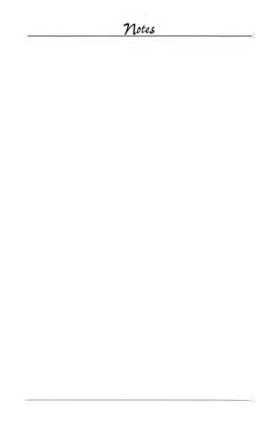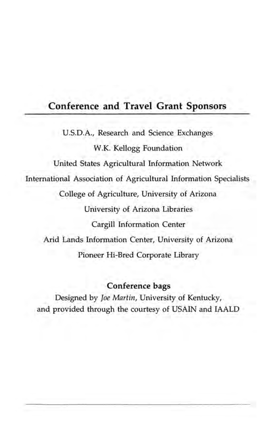### **Conference and Travel Grant Sponsors**

U.SD.A., Research and Science Exchanges W.K. Kellogg Foundation United States Agricultural Information Network International Association of Agricultural Information Specialists College of Agriculture, University of Arizona University of Arizona Libraries Cargill Information Center Arid Lands Information Center, University of Arizona Pioneer Hi-Bred Corporate Library

### **Conference bags**

Designed by *Joe Martin,* University of Kentucky, and provided through the courtesy of USAIN and IAALD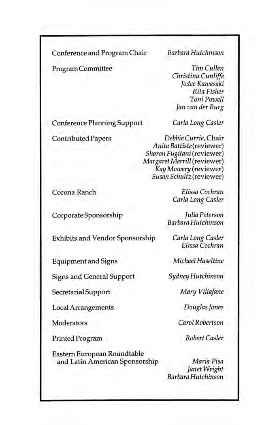Conference and Program Chair . *Barbara Hutchinson* 

Program Committee

*Tim Cullen Christina Cunliffe Jodee Kawasaki Rita Fisher Toni Powell Jan van der Burg* 

Conference Planning Support

Contributed Papers

*Carla Long Casler* 

*Debbie Currie,* Chair *Anita Battiste(reviewer) Sharon Fugitani* (reviewer) *Margaret Merrill* (reviewer) *Kay Mowery* (reviewer) *Susan Schultz* (reviewer)

Corona Ranch

Corporate Sponsorship

*Elissa Cochran Carla Long Casler* 

*Julia Peterson Barbara Hutchinson* 

Exhibits and Vendor Sponsorship *Carla Long Casler* 

Equipment and Signs

Signs and General Support

Secretarial Support

Local Arrangements

**Moderators** 

Printed Program

Eastern European Roundtable and Latin American Sponsorship *Elissa Cochran* 

*Michael Haseltine* 

*Sydney Hutchinson* 

*Mary Villafane* 

*Douglas Jones* 

*Carol Robertson* 

*Robert Casler* 

*Maria Pisa Janet Wright Barbara Hutchinson*